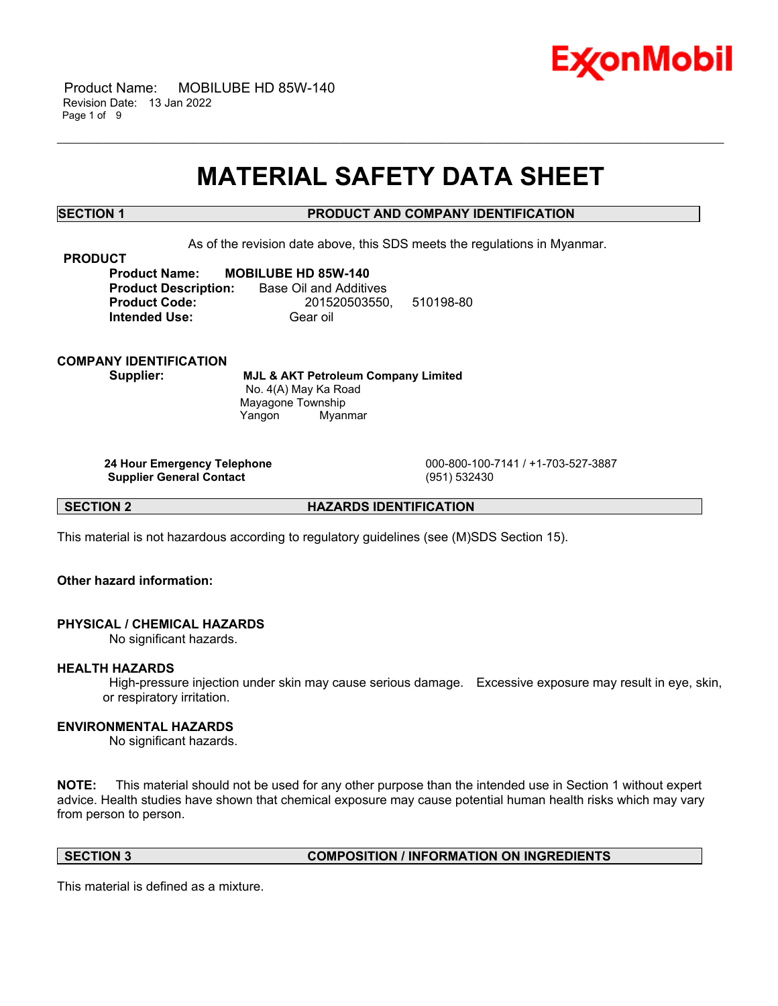

 Product Name: MOBILUBE HD 85W-140 Revision Date: 13 Jan 2022 Page 1 of 9

## **MATERIAL SAFETY DATA SHEET**

\_\_\_\_\_\_\_\_\_\_\_\_\_\_\_\_\_\_\_\_\_\_\_\_\_\_\_\_\_\_\_\_\_\_\_\_\_\_\_\_\_\_\_\_\_\_\_\_\_\_\_\_\_\_\_\_\_\_\_\_\_\_\_\_\_\_\_\_\_\_\_\_\_\_\_\_\_\_\_\_\_\_\_\_\_\_\_\_\_\_\_\_\_\_\_\_\_\_\_\_\_\_\_\_\_\_\_\_\_\_\_\_\_\_\_\_\_\_

## **SECTION 1 PRODUCT AND COMPANY IDENTIFICATION**

As of the revision date above, this SDS meets the regulations in Myanmar.

**PRODUCT**

**Product Name: MOBILUBE HD 85W-140 Product Description:** Base Oil and Additives **Product Code:** 201520503550, 510198-80 **Intended Use:** Gear oil

**COMPANY IDENTIFICATION**

**Supplier: MJL & AKT Petroleum Company Limited** No. 4(A) May Ka Road Mayagone Township Yangon Myanmar

**Supplier General Contact** (951) 532430

**24 Hour Emergency Telephone** 000-800-100-7141 / +1-703-527-3887

**SECTION 2 HAZARDS IDENTIFICATION**

This material is not hazardous according to regulatory guidelines (see (M)SDS Section 15).

**Other hazard information:**

#### **PHYSICAL / CHEMICAL HAZARDS**

No significant hazards.

#### **HEALTH HAZARDS**

High-pressure injection under skin may cause serious damage. Excessive exposure may result in eye, skin, or respiratory irritation.

## **ENVIRONMENTAL HAZARDS**

No significant hazards.

**NOTE:** This material should not be used for any other purpose than the intended use in Section 1 without expert advice. Health studies have shown that chemical exposure may cause potential human health risks which may vary from person to person.

## **SECTION 3 COMPOSITION / INFORMATION ON INGREDIENTS**

This material is defined as a mixture.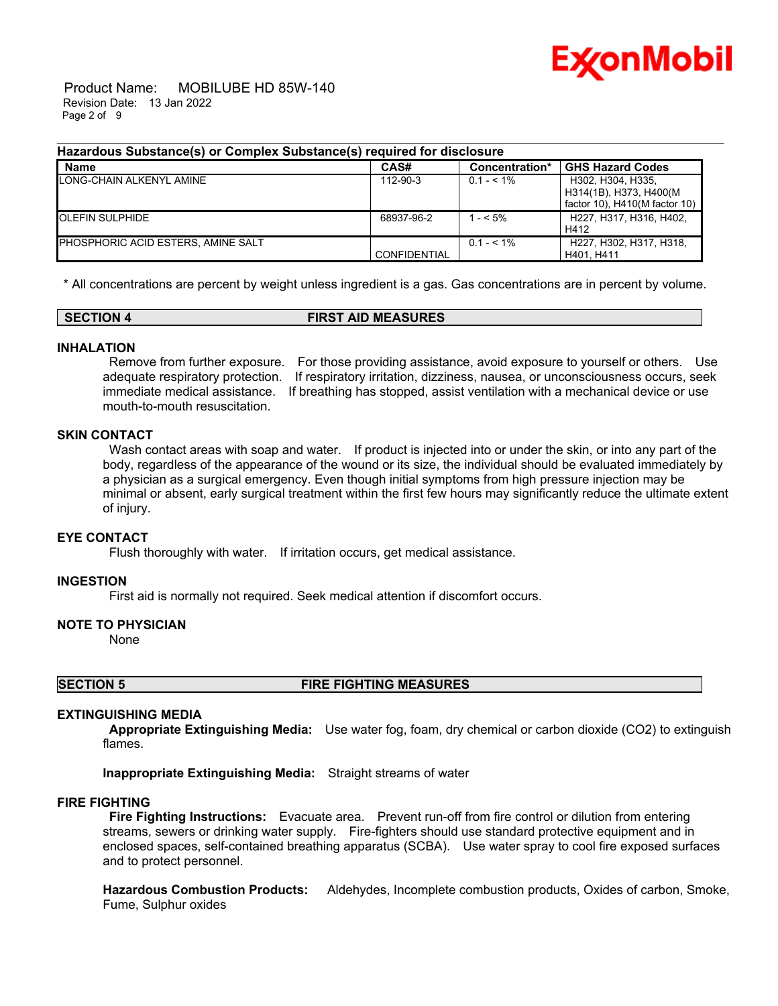

 Product Name: MOBILUBE HD 85W-140 Revision Date: 13 Jan 2022 Page 2 of 9

| Hazardous Substance(s) or Complex Substance(s) required for disclosure |  |  |
|------------------------------------------------------------------------|--|--|

| <b>Name</b>                        | CAS#                | Concentration* | <b>GHS Hazard Codes</b>       |
|------------------------------------|---------------------|----------------|-------------------------------|
| LONG-CHAIN ALKENYL AMINE           | 112-90-3            | $0.1 - 5.1\%$  | H302, H304, H335.             |
|                                    |                     |                | H314(1B), H373, H400(M        |
|                                    |                     |                | factor 10), H410(M factor 10) |
| <b>OLEFIN SULPHIDE</b>             | 68937-96-2          | $- < 5\%$      | H227, H317, H316, H402,       |
|                                    |                     |                | H412                          |
| PHOSPHORIC ACID ESTERS, AMINE SALT |                     | $0.1 - 5.1\%$  | H227, H302, H317, H318,       |
|                                    | <b>CONFIDENTIAL</b> |                | H401. H411                    |

\* All concentrations are percent by weight unless ingredient is a gas. Gas concentrations are in percent by volume.

**SECTION 4 FIRST AID MEASURES**

#### **INHALATION**

Remove from further exposure. For those providing assistance, avoid exposure to yourself or others. Use adequate respiratory protection. If respiratory irritation, dizziness, nausea, or unconsciousness occurs, seek immediate medical assistance. If breathing has stopped, assist ventilation with a mechanical device or use mouth-to-mouth resuscitation.

## **SKIN CONTACT**

Wash contact areas with soap and water. If product is injected into or under the skin, or into any part of the body, regardless of the appearance of the wound or its size, the individual should be evaluated immediately by a physician as a surgical emergency. Even though initial symptoms from high pressure injection may be minimal or absent, early surgical treatment within the first few hours may significantly reduce the ultimate extent of injury.

#### **EYE CONTACT**

Flush thoroughly with water. If irritation occurs, get medical assistance.

#### **INGESTION**

First aid is normally not required. Seek medical attention if discomfort occurs.

## **NOTE TO PHYSICIAN**

None

**SECTION 5 FIRE FIGHTING MEASURES**

#### **EXTINGUISHING MEDIA**

**Appropriate Extinguishing Media:** Use water fog, foam, dry chemical or carbon dioxide (CO2) to extinguish flames.

**Inappropriate Extinguishing Media:** Straight streams of water

#### **FIRE FIGHTING**

**Fire Fighting Instructions:** Evacuate area. Prevent run-off from fire control or dilution from entering streams, sewers or drinking water supply. Fire-fighters should use standard protective equipment and in enclosed spaces, self-contained breathing apparatus (SCBA). Use water spray to cool fire exposed surfaces and to protect personnel.

**Hazardous Combustion Products:** Aldehydes, Incomplete combustion products, Oxides of carbon, Smoke, Fume, Sulphur oxides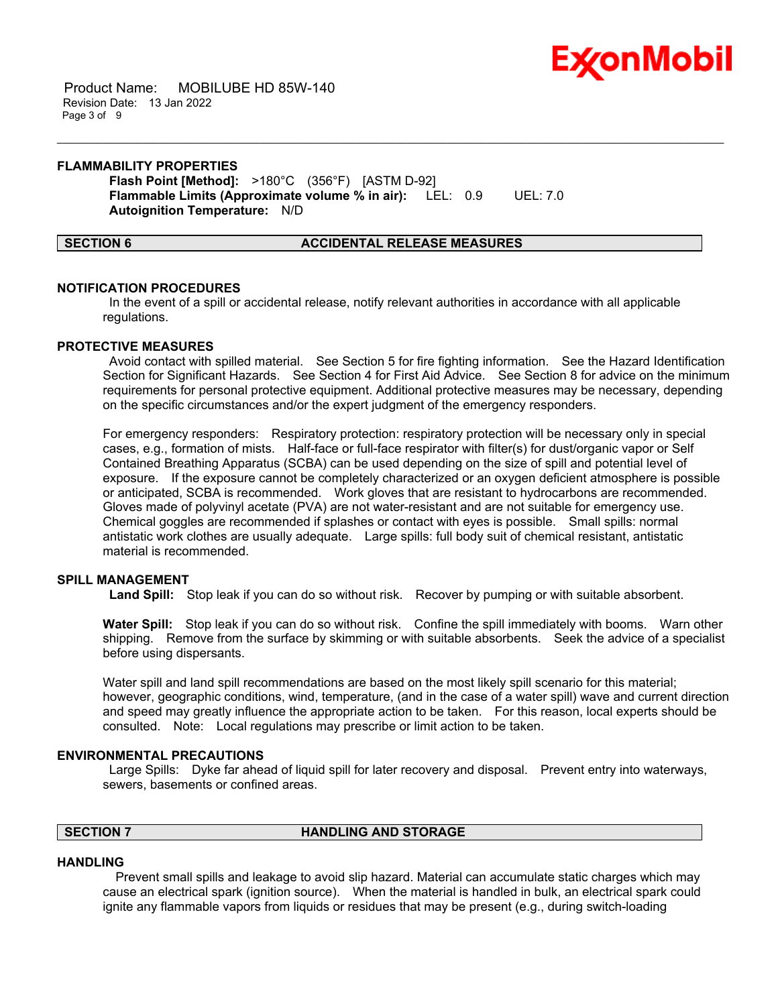

 Product Name: MOBILUBE HD 85W-140 Revision Date: 13 Jan 2022 Page 3 of 9

#### **FLAMMABILITY PROPERTIES**

**Flash Point [Method]:** >180°C (356°F) [ASTM D-92] **Flammable Limits (Approximate volume % in air):** LEL: 0.9 UEL: 7.0 **Autoignition Temperature:** N/D

#### **SECTION 6 ACCIDENTAL RELEASE MEASURES**

\_\_\_\_\_\_\_\_\_\_\_\_\_\_\_\_\_\_\_\_\_\_\_\_\_\_\_\_\_\_\_\_\_\_\_\_\_\_\_\_\_\_\_\_\_\_\_\_\_\_\_\_\_\_\_\_\_\_\_\_\_\_\_\_\_\_\_\_\_\_\_\_\_\_\_\_\_\_\_\_\_\_\_\_\_\_\_\_\_\_\_\_\_\_\_\_\_\_\_\_\_\_\_\_\_\_\_\_\_\_\_\_\_\_\_\_\_\_

#### **NOTIFICATION PROCEDURES**

In the event of a spill or accidental release, notify relevant authorities in accordance with all applicable regulations.

#### **PROTECTIVE MEASURES**

Avoid contact with spilled material. See Section 5 for fire fighting information. See the Hazard Identification Section for Significant Hazards. See Section 4 for First Aid Advice. See Section 8 for advice on the minimum requirements for personal protective equipment. Additional protective measures may be necessary, depending on the specific circumstances and/or the expert judgment of the emergency responders.

For emergency responders: Respiratory protection: respiratory protection will be necessary only in special cases, e.g., formation of mists. Half-face or full-face respirator with filter(s) for dust/organic vapor or Self Contained Breathing Apparatus (SCBA) can be used depending on the size of spill and potential level of exposure. If the exposure cannot be completely characterized or an oxygen deficient atmosphere is possible or anticipated, SCBA is recommended. Work gloves that are resistant to hydrocarbons are recommended. Gloves made of polyvinyl acetate (PVA) are not water-resistant and are not suitable for emergency use. Chemical goggles are recommended if splashes or contact with eyes is possible. Small spills: normal antistatic work clothes are usually adequate. Large spills: full body suit of chemical resistant, antistatic material is recommended.

#### **SPILL MANAGEMENT**

**Land Spill:** Stop leak if you can do so without risk. Recover by pumping or with suitable absorbent.

**Water Spill:** Stop leak if you can do so without risk. Confine the spill immediately with booms. Warn other shipping. Remove from the surface by skimming or with suitable absorbents. Seek the advice of a specialist before using dispersants.

Water spill and land spill recommendations are based on the most likely spill scenario for this material; however, geographic conditions, wind, temperature, (and in the case of a water spill) wave and current direction and speed may greatly influence the appropriate action to be taken. For this reason, local experts should be consulted. Note: Local regulations may prescribe or limit action to be taken.

#### **ENVIRONMENTAL PRECAUTIONS**

Large Spills: Dyke far ahead of liquid spill for later recovery and disposal. Prevent entry into waterways, sewers, basements or confined areas.

## **SECTION 7 HANDLING AND STORAGE**

#### **HANDLING**

 Prevent small spills and leakage to avoid slip hazard. Material can accumulate static charges which may cause an electrical spark (ignition source). When the material is handled in bulk, an electrical spark could ignite any flammable vapors from liquids or residues that may be present (e.g., during switch-loading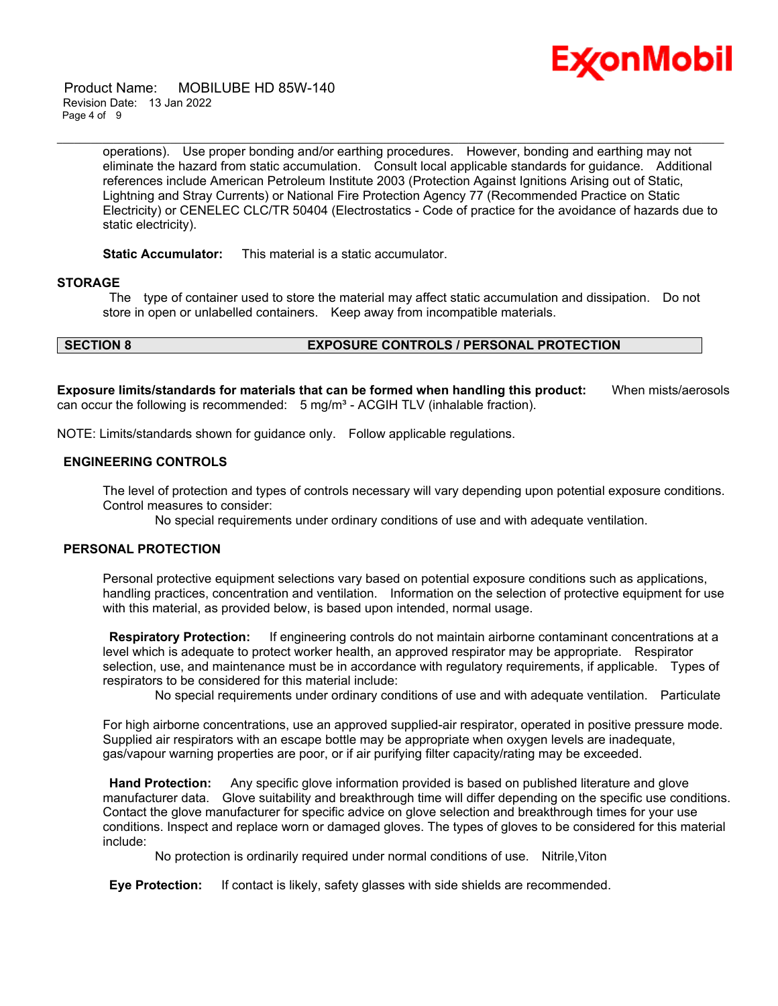

 Product Name: MOBILUBE HD 85W-140 Revision Date: 13 Jan 2022 Page 4 of 9

> operations). Use proper bonding and/or earthing procedures. However, bonding and earthing may not eliminate the hazard from static accumulation. Consult local applicable standards for guidance. Additional references include American Petroleum Institute 2003 (Protection Against Ignitions Arising out of Static, Lightning and Stray Currents) or National Fire Protection Agency 77 (Recommended Practice on Static Electricity) or CENELEC CLC/TR 50404 (Electrostatics - Code of practice for the avoidance of hazards due to static electricity).

\_\_\_\_\_\_\_\_\_\_\_\_\_\_\_\_\_\_\_\_\_\_\_\_\_\_\_\_\_\_\_\_\_\_\_\_\_\_\_\_\_\_\_\_\_\_\_\_\_\_\_\_\_\_\_\_\_\_\_\_\_\_\_\_\_\_\_\_\_\_\_\_\_\_\_\_\_\_\_\_\_\_\_\_\_\_\_\_\_\_\_\_\_\_\_\_\_\_\_\_\_\_\_\_\_\_\_\_\_\_\_\_\_\_\_\_\_\_

**Static Accumulator:** This material is a static accumulator.

#### **STORAGE**

The type of container used to store the material may affect static accumulation and dissipation. Do not store in open or unlabelled containers. Keep away from incompatible materials.

#### **SECTION 8 EXPOSURE CONTROLS / PERSONAL PROTECTION**

**Exposure limits/standards for materials that can be formed when handling this product:** When mists/aerosols can occur the following is recommended:  $5 \text{ mg/m}^3$  - ACGIH TLV (inhalable fraction).

NOTE: Limits/standards shown for guidance only. Follow applicable regulations.

## **ENGINEERING CONTROLS**

The level of protection and types of controls necessary will vary depending upon potential exposure conditions. Control measures to consider:

No special requirements under ordinary conditions of use and with adequate ventilation.

#### **PERSONAL PROTECTION**

Personal protective equipment selections vary based on potential exposure conditions such as applications, handling practices, concentration and ventilation. Information on the selection of protective equipment for use with this material, as provided below, is based upon intended, normal usage.

**Respiratory Protection:** If engineering controls do not maintain airborne contaminant concentrations at a level which is adequate to protect worker health, an approved respirator may be appropriate. Respirator selection, use, and maintenance must be in accordance with regulatory requirements, if applicable. Types of respirators to be considered for this material include:

No special requirements under ordinary conditions of use and with adequate ventilation. Particulate

For high airborne concentrations, use an approved supplied-air respirator, operated in positive pressure mode. Supplied air respirators with an escape bottle may be appropriate when oxygen levels are inadequate, gas/vapour warning properties are poor, or if air purifying filter capacity/rating may be exceeded.

**Hand Protection:** Any specific glove information provided is based on published literature and glove manufacturer data. Glove suitability and breakthrough time will differ depending on the specific use conditions. Contact the glove manufacturer for specific advice on glove selection and breakthrough times for your use conditions. Inspect and replace worn or damaged gloves. The types of gloves to be considered for this material include:

No protection is ordinarily required under normal conditions of use. Nitrile,Viton

**Eye Protection:** If contact is likely, safety glasses with side shields are recommended.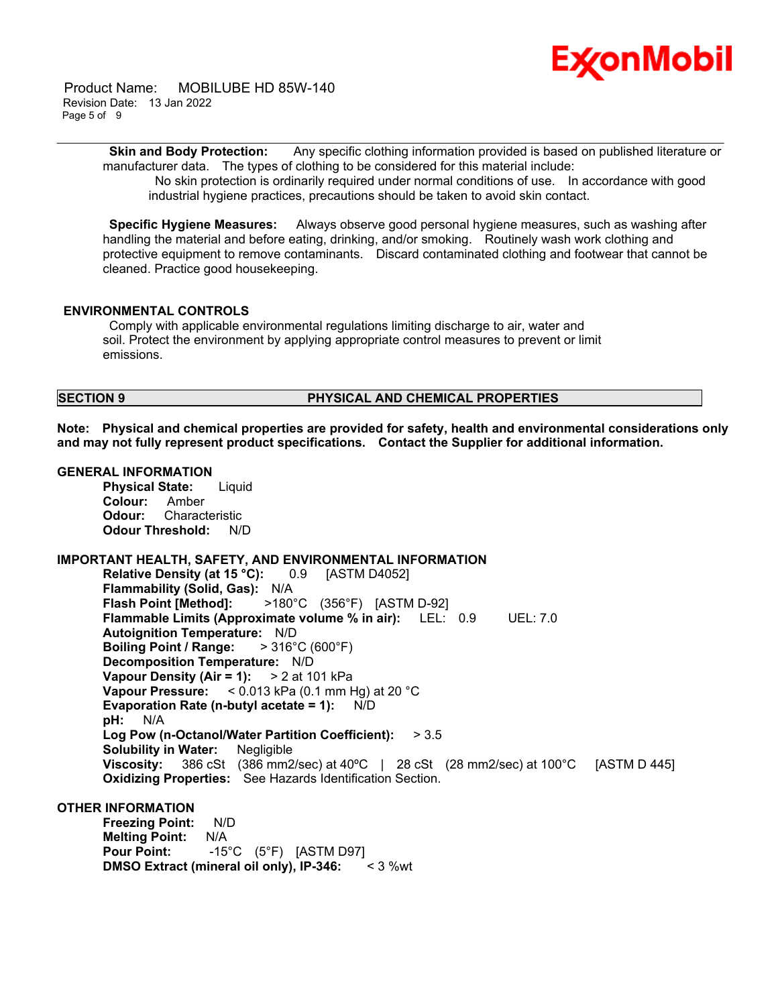

 Product Name: MOBILUBE HD 85W-140 Revision Date: 13 Jan 2022 Page 5 of 9

> **Skin and Body Protection:** Any specific clothing information provided is based on published literature or manufacturer data. The types of clothing to be considered for this material include:

\_\_\_\_\_\_\_\_\_\_\_\_\_\_\_\_\_\_\_\_\_\_\_\_\_\_\_\_\_\_\_\_\_\_\_\_\_\_\_\_\_\_\_\_\_\_\_\_\_\_\_\_\_\_\_\_\_\_\_\_\_\_\_\_\_\_\_\_\_\_\_\_\_\_\_\_\_\_\_\_\_\_\_\_\_\_\_\_\_\_\_\_\_\_\_\_\_\_\_\_\_\_\_\_\_\_\_\_\_\_\_\_\_\_\_\_\_\_

No skin protection is ordinarily required under normal conditions of use. In accordance with good industrial hygiene practices, precautions should be taken to avoid skin contact.

**Specific Hygiene Measures:** Always observe good personal hygiene measures, such as washing after handling the material and before eating, drinking, and/or smoking. Routinely wash work clothing and protective equipment to remove contaminants. Discard contaminated clothing and footwear that cannot be cleaned. Practice good housekeeping.

#### **ENVIRONMENTAL CONTROLS**

Comply with applicable environmental regulations limiting discharge to air, water and soil. Protect the environment by applying appropriate control measures to prevent or limit emissions.

## **SECTION 9 PHYSICAL AND CHEMICAL PROPERTIES**

**Note: Physical and chemical properties are provided for safety, health and environmental considerations only and may not fully represent product specifications. Contact the Supplier for additional information.**

#### **GENERAL INFORMATION**

**Physical State:** Liquid **Colour:** Amber **Odour:** Characteristic **Odour Threshold:** N/D

#### **IMPORTANT HEALTH, SAFETY, AND ENVIRONMENTAL INFORMATION**

**Relative Density (at 15 °C):** 0.9 [ASTM D4052] **Flammability (Solid, Gas):** N/A **Flash Point [Method]:** >180°C (356°F) [ASTM D-92] **Flammable Limits (Approximate volume % in air):** LEL: 0.9 UEL: 7.0 **Autoignition Temperature:** N/D **Boiling Point / Range:** > 316°C (600°F) **Decomposition Temperature:** N/D **Vapour Density (Air = 1):** > 2 at 101 kPa **Vapour Pressure:** < 0.013 kPa (0.1 mm Hg) at 20 °C **Evaporation Rate (n-butyl acetate = 1):** N/D **pH:** N/A **Log Pow (n-Octanol/Water Partition Coefficient):** > 3.5 **Solubility in Water:** Negligible **Viscosity:** 386 cSt (386 mm2/sec) at 40ºC | 28 cSt (28 mm2/sec) at 100°C [ASTM D 445] **Oxidizing Properties:** See Hazards Identification Section.

#### **OTHER INFORMATION**

**Freezing Point:** N/D **Melting Point:** N/A **Pour Point:** -15°C (5°F) [ASTM D97]<br>**DMSO Extract (mineral oil only), IP-346:** < 3 %wt **DMSO** Extract (mineral oil only), IP-346: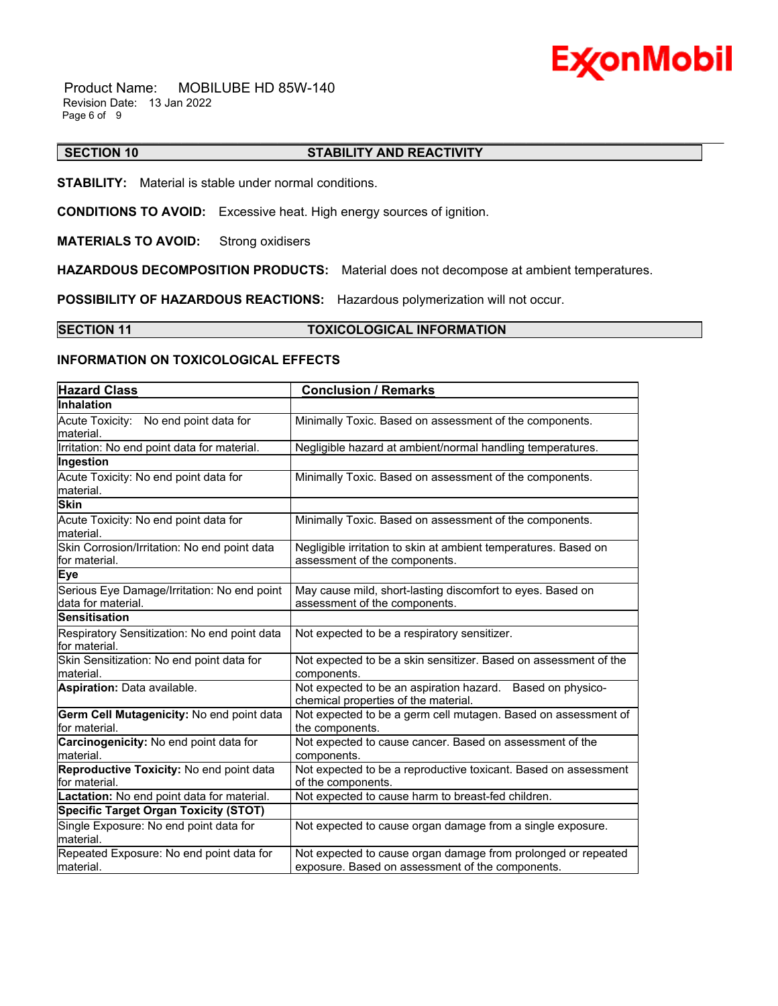# **ExonMobil**

 Product Name: MOBILUBE HD 85W-140 Revision Date: 13 Jan 2022 Page 6 of 9

#### \_\_\_\_\_\_\_\_\_\_\_\_\_\_\_\_\_\_\_\_\_\_\_\_\_\_\_\_\_\_\_\_\_\_\_\_\_\_\_\_\_\_\_\_\_\_\_\_\_\_\_\_\_\_\_\_\_\_\_\_\_\_\_\_\_\_\_\_\_\_\_\_\_\_\_\_\_\_\_\_\_\_\_\_\_\_\_\_\_\_\_\_\_\_\_\_\_\_\_\_\_\_\_\_\_\_\_\_\_\_\_\_\_\_\_\_\_\_ **SECTION 10 STABILITY AND REACTIVITY**

**STABILITY:** Material is stable under normal conditions.

**CONDITIONS TO AVOID:** Excessive heat. High energy sources of ignition.

**MATERIALS TO AVOID:** Strong oxidisers

**HAZARDOUS DECOMPOSITION PRODUCTS:** Material does not decompose at ambient temperatures.

**POSSIBILITY OF HAZARDOUS REACTIONS:** Hazardous polymerization will not occur.

#### **SECTION 11 TOXICOLOGICAL INFORMATION**

#### **INFORMATION ON TOXICOLOGICAL EFFECTS**

| <b>Hazard Class</b>                                               | <b>Conclusion / Remarks</b>                                                                                       |  |  |
|-------------------------------------------------------------------|-------------------------------------------------------------------------------------------------------------------|--|--|
| <b>Inhalation</b>                                                 |                                                                                                                   |  |  |
| Acute Toxicity: No end point data for<br>material.                | Minimally Toxic. Based on assessment of the components.                                                           |  |  |
| Irritation: No end point data for material.                       | Negligible hazard at ambient/normal handling temperatures.                                                        |  |  |
| Ingestion                                                         |                                                                                                                   |  |  |
| Acute Toxicity: No end point data for<br>material.                | Minimally Toxic. Based on assessment of the components.                                                           |  |  |
| <b>Skin</b>                                                       |                                                                                                                   |  |  |
| Acute Toxicity: No end point data for<br>material.                | Minimally Toxic. Based on assessment of the components.                                                           |  |  |
| Skin Corrosion/Irritation: No end point data<br>for material.     | Negligible irritation to skin at ambient temperatures. Based on<br>assessment of the components.                  |  |  |
| <b>Eye</b>                                                        |                                                                                                                   |  |  |
| Serious Eye Damage/Irritation: No end point<br>data for material. | May cause mild, short-lasting discomfort to eyes. Based on<br>assessment of the components.                       |  |  |
| <b>Sensitisation</b>                                              |                                                                                                                   |  |  |
| Respiratory Sensitization: No end point data<br>for material.     | Not expected to be a respiratory sensitizer.                                                                      |  |  |
| Skin Sensitization: No end point data for<br>material.            | Not expected to be a skin sensitizer. Based on assessment of the<br>components.                                   |  |  |
| <b>Aspiration: Data available.</b>                                | Not expected to be an aspiration hazard. Based on physico-<br>chemical properties of the material.                |  |  |
| Germ Cell Mutagenicity: No end point data<br>for material.        | Not expected to be a germ cell mutagen. Based on assessment of<br>the components.                                 |  |  |
| Carcinogenicity: No end point data for<br>material.               | Not expected to cause cancer. Based on assessment of the<br>components.                                           |  |  |
| Reproductive Toxicity: No end point data<br>for material.         | Not expected to be a reproductive toxicant. Based on assessment<br>of the components.                             |  |  |
| Lactation: No end point data for material.                        | Not expected to cause harm to breast-fed children.                                                                |  |  |
| <b>Specific Target Organ Toxicity (STOT)</b>                      |                                                                                                                   |  |  |
| Single Exposure: No end point data for<br>material.               | Not expected to cause organ damage from a single exposure.                                                        |  |  |
| Repeated Exposure: No end point data for<br>material.             | Not expected to cause organ damage from prolonged or repeated<br>exposure. Based on assessment of the components. |  |  |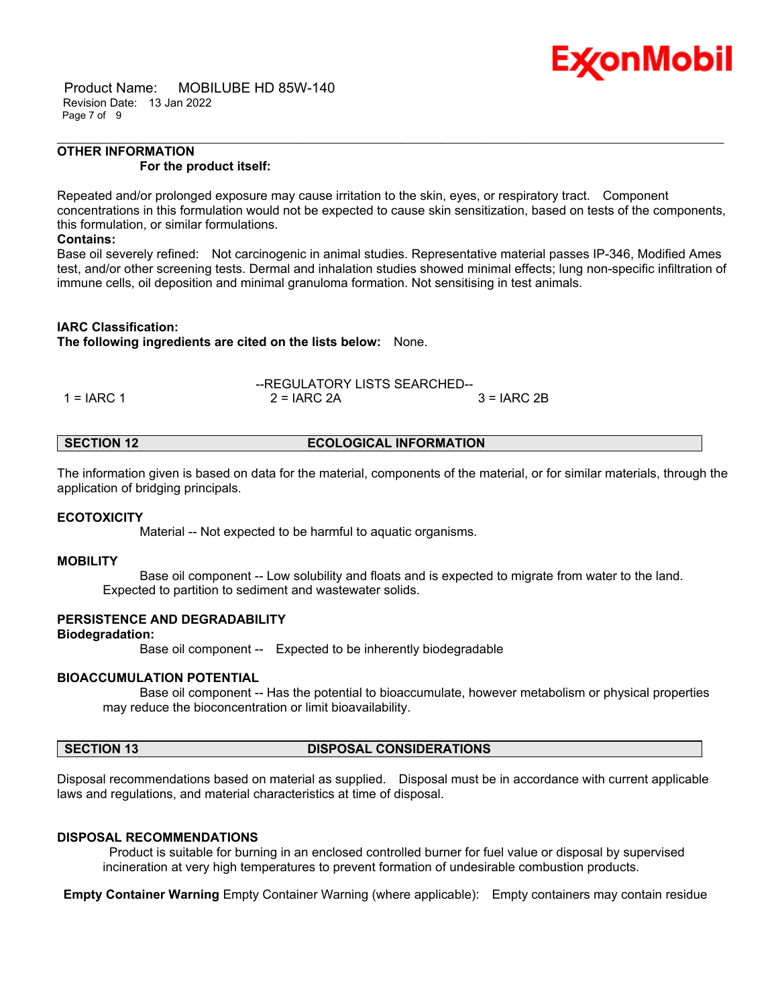

 Product Name: MOBILUBE HD 85W-140 Revision Date: 13 Jan 2022 Page 7 of 9

#### **OTHER INFORMATION For the product itself:**

Repeated and/or prolonged exposure may cause irritation to the skin, eyes, or respiratory tract. Component concentrations in this formulation would not be expected to cause skin sensitization, based on tests of the components, this formulation, or similar formulations.

\_\_\_\_\_\_\_\_\_\_\_\_\_\_\_\_\_\_\_\_\_\_\_\_\_\_\_\_\_\_\_\_\_\_\_\_\_\_\_\_\_\_\_\_\_\_\_\_\_\_\_\_\_\_\_\_\_\_\_\_\_\_\_\_\_\_\_\_\_\_\_\_\_\_\_\_\_\_\_\_\_\_\_\_\_\_\_\_\_\_\_\_\_\_\_\_\_\_\_\_\_\_\_\_\_\_\_\_\_\_\_\_\_\_\_\_\_\_

#### **Contains:**

Base oil severely refined: Not carcinogenic in animal studies. Representative material passes IP-346, Modified Ames test, and/or other screening tests. Dermal and inhalation studies showed minimal effects; lung non-specific infiltration of immune cells, oil deposition and minimal granuloma formation. Not sensitising in test animals.

#### **IARC Classification:**

**The following ingredients are cited on the lists below:** None.

|              | --REGULATORY LISTS SEARCHED-- |               |  |  |
|--------------|-------------------------------|---------------|--|--|
| $1 = IARC 1$ | $2 = IARC 2A$                 | $3 = IARC 2B$ |  |  |

#### **SECTION 12 ECOLOGICAL INFORMATION**

The information given is based on data for the material, components of the material, or for similar materials, through the application of bridging principals.

#### **ECOTOXICITY**

Material -- Not expected to be harmful to aquatic organisms.

#### **MOBILITY**

 Base oil component -- Low solubility and floats and is expected to migrate from water to the land. Expected to partition to sediment and wastewater solids.

#### **PERSISTENCE AND DEGRADABILITY**

#### **Biodegradation:**

Base oil component -- Expected to be inherently biodegradable

#### **BIOACCUMULATION POTENTIAL**

 Base oil component -- Has the potential to bioaccumulate, however metabolism or physical properties may reduce the bioconcentration or limit bioavailability.

## **SECTION 13 DISPOSAL CONSIDERATIONS**

Disposal recommendations based on material as supplied. Disposal must be in accordance with current applicable laws and regulations, and material characteristics at time of disposal.

#### **DISPOSAL RECOMMENDATIONS**

Product is suitable for burning in an enclosed controlled burner for fuel value or disposal by supervised incineration at very high temperatures to prevent formation of undesirable combustion products.

**Empty Container Warning** Empty Container Warning (where applicable): Empty containers may contain residue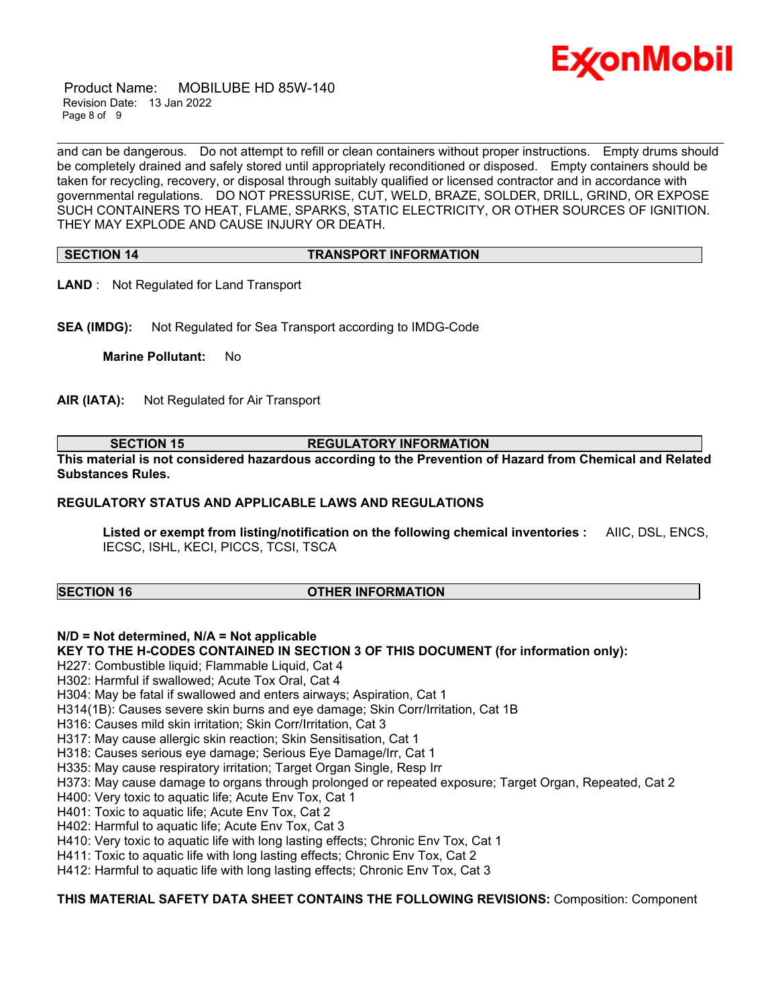

 Product Name: MOBILUBE HD 85W-140 Revision Date: 13 Jan 2022 Page 8 of 9

\_\_\_\_\_\_\_\_\_\_\_\_\_\_\_\_\_\_\_\_\_\_\_\_\_\_\_\_\_\_\_\_\_\_\_\_\_\_\_\_\_\_\_\_\_\_\_\_\_\_\_\_\_\_\_\_\_\_\_\_\_\_\_\_\_\_\_\_\_\_\_\_\_\_\_\_\_\_\_\_\_\_\_\_\_\_\_\_\_\_\_\_\_\_\_\_\_\_\_\_\_\_\_\_\_\_\_\_\_\_\_\_\_\_\_\_\_\_ and can be dangerous. Do not attempt to refill or clean containers without proper instructions. Empty drums should be completely drained and safely stored until appropriately reconditioned or disposed. Empty containers should be taken for recycling, recovery, or disposal through suitably qualified or licensed contractor and in accordance with governmental regulations. DO NOT PRESSURISE, CUT, WELD, BRAZE, SOLDER, DRILL, GRIND, OR EXPOSE SUCH CONTAINERS TO HEAT, FLAME, SPARKS, STATIC ELECTRICITY, OR OTHER SOURCES OF IGNITION. THEY MAY EXPLODE AND CAUSE INJURY OR DEATH.

#### **SECTION 14 TRANSPORT INFORMATION**

**LAND** : Not Regulated for Land Transport

**SEA (IMDG):** Not Regulated for Sea Transport according to IMDG-Code

**Marine Pollutant:** No

**AIR (IATA):** Not Regulated for Air Transport

**SECTION 15 REGULATORY INFORMATION**

**This material is not considered hazardous according to the Prevention of Hazard from Chemical and Related Substances Rules.**

#### **REGULATORY STATUS AND APPLICABLE LAWS AND REGULATIONS**

**Listed or exempt from listing/notification on the following chemical inventories :** AIIC, DSL, ENCS, IECSC, ISHL, KECI, PICCS, TCSI, TSCA

#### **SECTION 16 OTHER INFORMATION**

## **N/D = Not determined, N/A = Not applicable**

**KEY TO THE H-CODES CONTAINED IN SECTION 3 OF THIS DOCUMENT (for information only):**

H227: Combustible liquid; Flammable Liquid, Cat 4

H302: Harmful if swallowed; Acute Tox Oral, Cat 4

H304: May be fatal if swallowed and enters airways; Aspiration, Cat 1

H314(1B): Causes severe skin burns and eye damage; Skin Corr/Irritation, Cat 1B

H316: Causes mild skin irritation; Skin Corr/Irritation, Cat 3

H317: May cause allergic skin reaction; Skin Sensitisation, Cat 1

H318: Causes serious eye damage; Serious Eye Damage/Irr, Cat 1

H335: May cause respiratory irritation; Target Organ Single, Resp Irr

- H373: May cause damage to organs through prolonged or repeated exposure; Target Organ, Repeated, Cat 2
- H400: Very toxic to aquatic life; Acute Env Tox, Cat 1
- H401: Toxic to aquatic life; Acute Env Tox, Cat 2
- H402: Harmful to aquatic life; Acute Env Tox, Cat 3
- H410: Very toxic to aquatic life with long lasting effects; Chronic Env Tox, Cat 1

H411: Toxic to aquatic life with long lasting effects; Chronic Env Tox, Cat 2

H412: Harmful to aquatic life with long lasting effects; Chronic Env Tox, Cat 3

#### **THIS MATERIAL SAFETY DATA SHEET CONTAINS THE FOLLOWING REVISIONS:** Composition: Component